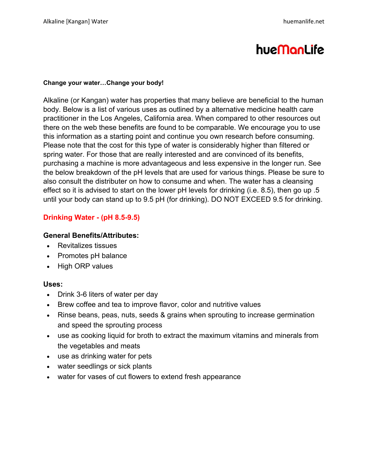# hueManLife

## **Change your water…Change your body!**

Alkaline (or Kangan) water has properties that many believe are beneficial to the human body. Below is a list of various uses as outlined by a alternative medicine health care practitioner in the Los Angeles, California area. When compared to other resources out there on the web these benefits are found to be comparable. We encourage you to use this information as a starting point and continue you own research before consuming. Please note that the cost for this type of water is considerably higher than filtered or spring water. For those that are really interested and are convinced of its benefits, purchasing a machine is more advantageous and less expensive in the longer run. See the below breakdown of the pH levels that are used for various things. Please be sure to also consult the distributer on how to consume and when. The water has a cleansing effect so it is advised to start on the lower pH levels for drinking (i.e. 8.5), then go up .5 until your body can stand up to 9.5 pH (for drinking). DO NOT EXCEED 9.5 for drinking.

# **Drinking Water - (pH 8.5-9.5)**

# **General Benefits/Attributes:**

- Revitalizes tissues
- Promotes pH balance
- High ORP values

# **Uses:**

- $\bullet$  Drink 3-6 liters of water per day
- Brew coffee and tea to improve flavor, color and nutritive values
- Rinse beans, peas, nuts, seeds & grains when sprouting to increase germination and speed the sprouting process
- use as cooking liquid for broth to extract the maximum vitamins and minerals from the vegetables and meats
- use as drinking water for pets
- water seedlings or sick plants
- water for vases of cut flowers to extend fresh appearance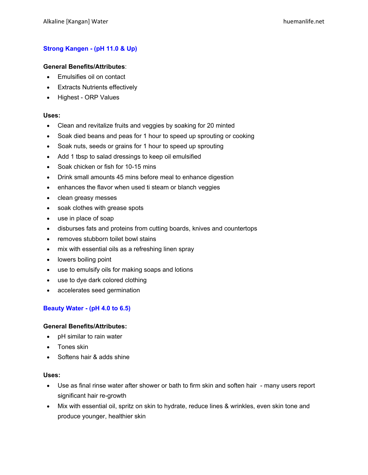# **Strong Kangen - (pH 11.0 & Up)**

#### **General Benefits/Attributes**:

- Emulsifies oil on contact
- Extracts Nutrients effectively
- Highest ORP Values

#### **Uses:**

- Clean and revitalize fruits and veggies by soaking for 20 minted
- Soak died beans and peas for 1 hour to speed up sprouting or cooking
- Soak nuts, seeds or grains for 1 hour to speed up sprouting
- Add 1 tbsp to salad dressings to keep oil emulsified
- Soak chicken or fish for 10-15 mins
- Drink small amounts 45 mins before meal to enhance digestion
- enhances the flavor when used ti steam or blanch veggies
- clean greasy messes
- soak clothes with grease spots
- $\bullet$  use in place of soap
- disburses fats and proteins from cutting boards, knives and countertops
- removes stubborn toilet bowl stains
- mix with essential oils as a refreshing linen spray
- lowers boiling point
- use to emulsify oils for making soaps and lotions
- use to dye dark colored clothing
- accelerates seed germination

## **Beauty Water - (pH 4.0 to 6.5)**

#### **General Benefits/Attributes:**

- $\bullet$  pH similar to rain water
- $\bullet$  Tones skin
- Softens hair & adds shine

#### **Uses:**

- Use as final rinse water after shower or bath to firm skin and soften hair many users report significant hair re-growth
- Mix with essential oil, spritz on skin to hydrate, reduce lines & wrinkles, even skin tone and produce younger, healthier skin